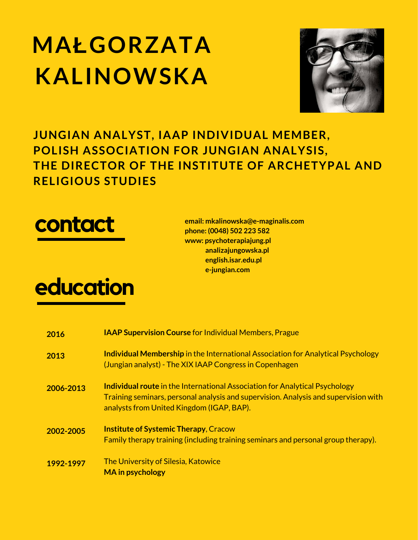## **MAŁGORZATA KALINOWSKA**



**JUNGIAN ANALYST, IAAP INDIVIDUAL MEMBER, POLISH ASSOCIATION FOR JUNGIAN ANALYSIS, THE DIRECTOR OF THE INSTITUTE OF ARCHETYPAL AND RELIGIOUS STUDIES**



**education**

**email: [mkalinowska@e-maginalis.com](http://analizajungowska.pl/) phone: (0048) 502 223 582 www: psychoterapiajung.pl analizajungowska.pl english.isar.edu.pl e-jungian.com**

| 2016      | <b>IAAP Supervision Course for Individual Members, Prague</b>                                                                                                                                                          |
|-----------|------------------------------------------------------------------------------------------------------------------------------------------------------------------------------------------------------------------------|
| 2013      | <b>Individual Membership</b> in the International Association for Analytical Psychology<br>(Jungian analyst) - The XIX IAAP Congress in Copenhagen                                                                     |
| 2006-2013 | <b>Individual route in the International Association for Analytical Psychology</b><br>Training seminars, personal analysis and supervision. Analysis and supervision with<br>analysts from United Kingdom (IGAP, BAP). |
| 2002-2005 | <b>Institute of Systemic Therapy, Cracow</b><br>Family therapy training (including training seminars and personal group therapy).                                                                                      |
| 1992-1997 | The University of Silesia, Katowice<br><b>MA</b> in psychology                                                                                                                                                         |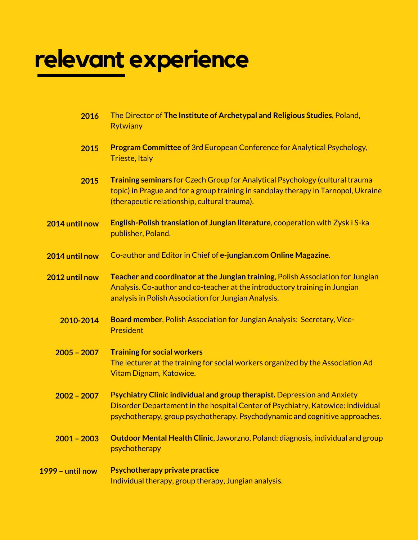# **relevant experience**

| 2016             | The Director of The Institute of Archetypal and Religious Studies, Poland,<br><b>Rytwiany</b>                                                                                                                                              |
|------------------|--------------------------------------------------------------------------------------------------------------------------------------------------------------------------------------------------------------------------------------------|
| 2015             | Program Committee of 3rd European Conference for Analytical Psychology,<br><b>Trieste, Italy</b>                                                                                                                                           |
| 2015             | <b>Training seminars</b> for Czech Group for Analytical Psychology (cultural trauma<br>topic) in Prague and for a group training in sandplay therapy in Tarnopol, Ukraine<br>(therapeutic relationship, cultural trauma).                  |
| 2014 until now   | English-Polish translation of Jungian literature, cooperation with Zysk i S-ka<br>publisher, Poland.                                                                                                                                       |
| 2014 until now   | Co-author and Editor in Chief of e-jungian.com Online Magazine.                                                                                                                                                                            |
| 2012 until now   | Teacher and coordinator at the Jungian training, Polish Association for Jungian<br>Analysis. Co-author and co-teacher at the introductory training in Jungian<br>analysis in Polish Association for Jungian Analysis.                      |
| 2010-2014        | Board member, Polish Association for Jungian Analysis: Secretary, Vice-<br><b>President</b>                                                                                                                                                |
| $2005 - 2007$    | <b>Training for social workers</b><br>The lecturer at the training for social workers organized by the Association Ad<br>Vitam Dignam, Katowice.                                                                                           |
| $2002 - 2007$    | Psychiatry Clinic individual and group therapist. Depression and Anxiety<br>Disorder Departement in the hospital Center of Psychiatry, Katowice: individual<br>psychotherapy, group psychotherapy. Psychodynamic and cognitive approaches. |
| $2001 - 2003$    | <b>Outdoor Mental Health Clinic, Jaworzno, Poland: diagnosis, individual and group</b><br>psychotherapy                                                                                                                                    |
| 1999 - until now | <b>Psychotherapy private practice</b><br>Individual therapy, group therapy, Jungian analysis.                                                                                                                                              |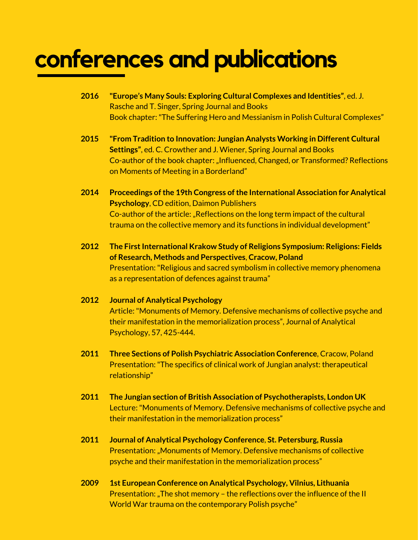### **conferences and publications**

- **2016 "Europe's Many Souls: Exploring Cultural Complexes and Identities"**, ed. J. Rasche and T. Singer, Spring Journal and Books Book chapter:"The Suffering Hero and Messianism in Polish Cultural Complexes"
- **2015 "From Tradition to Innovation: Jungian Analysts Working in Different Cultural Settings"**, ed. C. Crowther and J. Wiener, Spring Journal and Books Co-author of the book chapter: "Influenced, Changed, or Transformed? Reflections on Moments of Meeting in a Borderland"
- **2014 Proceedings ofthe 19th Congress ofthe International Association for Analytical Psychology**, CD edition, Daimon Publishers Co-author of the article: "Reflections on the long term impact of the cultural trauma on the collective memory and its functions in individual development"
- **2012 The FirstInternational Krakow Study of Religions Symposium: Religions: Fields of Research, Methods and Perspectives**, **Cracow, Poland** Presentation:"Religious and sacred symbolism in collective memory phenomena as a representation of defences against trauma"
- **2012 Journal of Analytical Psychology** Article:"Monuments of Memory. Defensive mechanisms of collective psyche and their manifestation in the memorialization process", Journal of Analytical Psychology, 57, 425-444.
- **2011 Three Sections of Polish Psychiatric Association Conference**, Cracow, Poland Presentation:"The specifics of clinical work of Jungian analyst: therapeutical relationship"
- **2011 The Jungian section of British Association of Psychotherapists, London UK** Lecture:"Monuments of Memory. Defensive mechanisms of collective psyche and their manifestation in the memorialization process"
- **2011 Journal of Analytical Psychology Conference**, **St. Petersburg, Russia** Presentation: "Monuments of Memory. Defensive mechanisms of collective psyche and their manifestation in the memorialization process"
- **2009 1st European Conference on Analytical Psychology, Vilnius, Lithuania** Presentation: "The shot memory – the reflections over the influence of the II World War trauma on the contemporary Polish psyche"